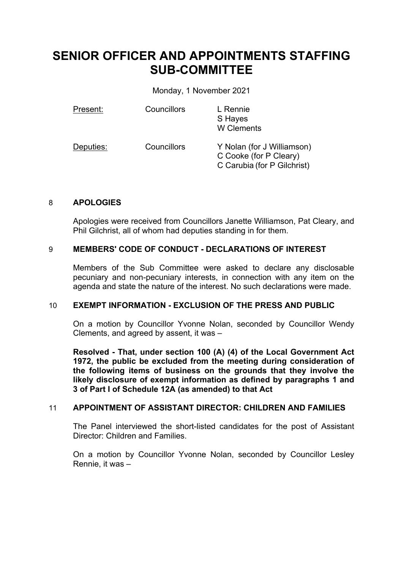# **SENIOR OFFICER AND APPOINTMENTS STAFFING SUB-COMMITTEE**

Monday, 1 November 2021

| Present:  | Councillors | L Rennie<br>S Hayes<br><b>W</b> Clements             |
|-----------|-------------|------------------------------------------------------|
| Deputies: | Councillors | Y Nolan (for J Williamson)<br>C Cooke (for P Cleary) |

## 8 **APOLOGIES**

Apologies were received from Councillors Janette Williamson, Pat Cleary, and Phil Gilchrist, all of whom had deputies standing in for them.

C Carubia (for P Gilchrist)

### 9 **MEMBERS' CODE OF CONDUCT - DECLARATIONS OF INTEREST**

Members of the Sub Committee were asked to declare any disclosable pecuniary and non-pecuniary interests, in connection with any item on the agenda and state the nature of the interest. No such declarations were made.

### 10 **EXEMPT INFORMATION - EXCLUSION OF THE PRESS AND PUBLIC**

On a motion by Councillor Yvonne Nolan, seconded by Councillor Wendy Clements, and agreed by assent, it was –

**Resolved - That, under section 100 (A) (4) of the Local Government Act 1972, the public be excluded from the meeting during consideration of the following items of business on the grounds that they involve the likely disclosure of exempt information as defined by paragraphs 1 and 3 of Part I of Schedule 12A (as amended) to that Act**

#### 11 **APPOINTMENT OF ASSISTANT DIRECTOR: CHILDREN AND FAMILIES**

The Panel interviewed the short-listed candidates for the post of Assistant Director: Children and Families.

On a motion by Councillor Yvonne Nolan, seconded by Councillor Lesley Rennie, it was –